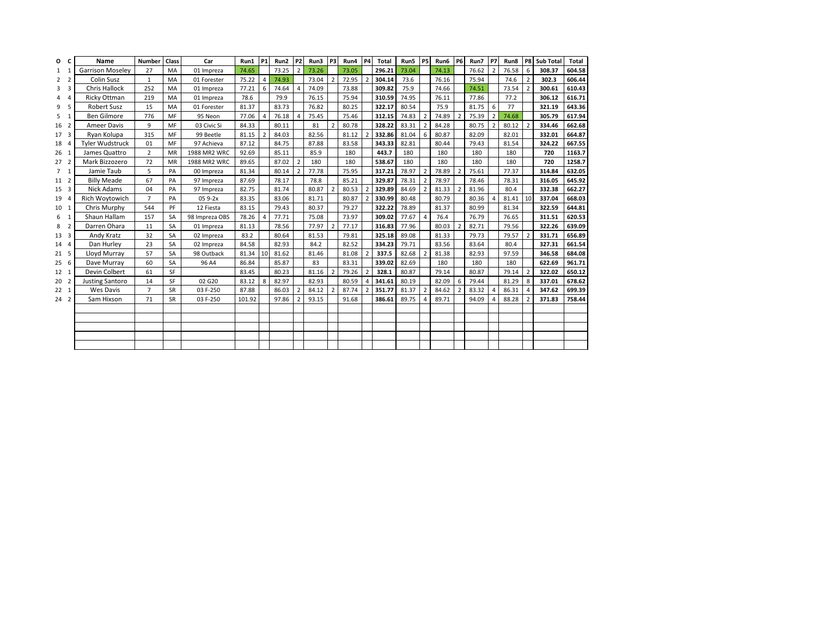| O               | C                       | Name                    | Number         | Class     | Car            | Run1   | P <sub>1</sub> | Run2  | P <sub>2</sub> | Run3  | P <sub>3</sub> | Run4  | <b>P4</b>      | <b>Total</b> | Run5  | <b>P5</b>      | Run6  | <b>P6</b>                | Run7  | P7                       | Run8  | P8             | <b>Sub Total</b> | Total  |
|-----------------|-------------------------|-------------------------|----------------|-----------|----------------|--------|----------------|-------|----------------|-------|----------------|-------|----------------|--------------|-------|----------------|-------|--------------------------|-------|--------------------------|-------|----------------|------------------|--------|
|                 |                         | <b>Garrison Moseley</b> | 27             | MA        | 01 Impreza     | 74.65  |                | 73.25 | $\overline{2}$ | 73.26 |                | 73.05 |                | 296.21       | 73.04 |                | 74.13 |                          | 76.62 | $\overline{\phantom{a}}$ | 76.58 | 6              | 308.37           | 604.58 |
| 2               | $\overline{2}$          | <b>Colin Susz</b>       | $\mathbf{1}$   | MA        | 01 Forester    | 75.22  | 4              | 74.93 |                | 73.04 | $\overline{2}$ | 72.95 |                | 304.14       | 73.6  |                | 76.16 |                          | 75.94 |                          | 74.6  | $\overline{2}$ | 302.3            | 606.44 |
| 3               | 3                       | <b>Chris Hallock</b>    | 252            | MA        | 01 Impreza     | 77.21  | 6              | 74.64 | $\overline{a}$ | 74.09 |                | 73.88 |                | 309.82       | 75.9  |                | 74.66 |                          | 74.51 |                          | 73.54 | $\overline{2}$ | 300.61           | 610.43 |
| 4               | $\Delta$                | Ricky Ottman            | 219            | MA        | 01 Impreza     | 78.6   |                | 79.9  |                | 76.15 |                | 75.94 |                | 310.59       | 74.95 |                | 76.11 |                          | 77.86 |                          | 77.2  |                | 306.12           | 616.71 |
| 9               | 5                       | <b>Robert Susz</b>      | 15             | MA        | 01 Forester    | 81.37  |                | 83.73 |                | 76.82 |                | 80.25 |                | 322.17       | 80.54 |                | 75.9  |                          | 81.75 | 6                        | 77    |                | 321.19           | 643.36 |
| 5               | $\overline{1}$          | <b>Ben Gilmore</b>      | 776            | MF        | 95 Neon        | 77.06  | $\Delta$       | 76.18 | $\overline{4}$ | 75.45 |                | 75.46 |                | 312.15       | 74.83 |                | 74.89 |                          | 75.39 | $\mathcal{P}$            | 74.68 |                | 305.79           | 617.94 |
| 16              | $\overline{2}$          | <b>Ameer Davis</b>      | 9              | MF        | 03 Civic Si    | 84.33  |                | 80.11 |                | 81    | $\overline{2}$ | 80.78 |                | 328.22       | 83.31 |                | 84.28 |                          | 80.75 |                          | 80.12 | $\overline{2}$ | 334.46           | 662.68 |
| 17 <sup>3</sup> |                         | Ryan Kolupa             | 315            | MF        | 99 Beetle      | 81.15  | $\overline{2}$ | 84.03 |                | 82.56 |                | 81.12 |                | 332.86       | 81.04 | 6              | 80.87 |                          | 82.09 |                          | 82.01 |                | 332.01           | 664.87 |
| 18              | $\overline{4}$          | Tyler Wudstruck         | 01             | MF        | 97 Achieva     | 87.12  |                | 84.75 |                | 87.88 |                | 83.58 |                | 343.33       | 82.81 |                | 80.44 |                          | 79.43 |                          | 81.54 |                | 324.22           | 667.55 |
| 26 <sub>1</sub> |                         | James Quattro           | $\overline{2}$ | MR        | 1988 MR2 WRC   | 92.69  |                | 85.11 |                | 85.9  |                | 180   |                | 443.7        | 180   |                | 180   |                          | 180   |                          | 180   |                | 720              | 1163.7 |
| 27 <sub>2</sub> |                         | Mark Bizzozero          | 72             | MR        | 1988 MR2 WRC   | 89.65  |                | 87.02 | $\overline{2}$ | 180   |                | 180   |                | 538.67       | 180   |                | 180   |                          | 180   |                          | 180   |                | 720              | 1258.7 |
| $\overline{7}$  | $\mathbf{1}$            | Jamie Taub              | 5              | PA        | 00 Impreza     | 81.34  |                | 80.14 | $\overline{2}$ | 77.78 |                | 75.95 |                | 317.21       | 78.97 | $\overline{2}$ | 78.89 | $\overline{2}$           | 75.61 |                          | 77.37 |                | 314.84           | 632.05 |
| 11 2            |                         | <b>Billy Meade</b>      | 67             | PA        | 97 Impreza     | 87.69  |                | 78.17 |                | 78.8  |                | 85.21 |                | 329.87       | 78.31 |                | 78.97 |                          | 78.46 |                          | 78.31 |                | 316.05           | 645.92 |
| 15 3            |                         | Nick Adams              | 04             | PA        | 97 Impreza     | 82.75  |                | 81.74 |                | 80.87 | $\overline{2}$ | 80.53 |                | 329.89       | 84.69 |                | 81.33 | $\overline{\phantom{a}}$ | 81.96 |                          | 80.4  |                | 332.38           | 662.27 |
| 19              | $\overline{4}$          | Rich Woytowich          | $\overline{7}$ | PA        | 05 9-2x        | 83.35  |                | 83.06 |                | 81.71 |                | 80.87 | $\overline{2}$ | 330.99       | 80.48 |                | 80.79 |                          | 80.36 | $\lambda$                | 81.41 | 10             | 337.04           | 668.03 |
| 10 1            |                         | Chris Murphy            | 544            | PF        | 12 Fiesta      | 83.15  |                | 79.43 |                | 80.37 |                | 79.27 |                | 322.22       | 78.89 |                | 81.37 |                          | 80.99 |                          | 81.34 |                | 322.59           | 644.81 |
| 6               | $\mathbf{1}$            | Shaun Hallam            | 157            | <b>SA</b> | 98 Impreza OBS | 78.26  | $\Delta$       | 77.71 |                | 75.08 |                | 73.97 |                | 309.02       | 77.67 | 4              | 76.4  |                          | 76.79 |                          | 76.65 |                | 311.51           | 620.53 |
| 8               | $\overline{2}$          | Darren Ohara            | 11             | SA        | 01 Impreza     | 81.13  |                | 78.56 |                | 77.97 | $\overline{2}$ | 77.17 |                | 316.83       | 77.96 |                | 80.03 | $\overline{2}$           | 82.71 |                          | 79.56 |                | 322.26           | 639.09 |
| 13              | $\overline{\mathbf{3}}$ | Andy Kratz              | 32             | <b>SA</b> | 02 Impreza     | 83.2   |                | 80.64 |                | 81.53 |                | 79.81 |                | 325.18       | 89.08 |                | 81.33 |                          | 79.73 |                          | 79.57 | $\overline{2}$ | 331.71           | 656.89 |
| 14 4            |                         | Dan Hurley              | 23             | <b>SA</b> | 02 Impreza     | 84.58  |                | 82.93 |                | 84.2  |                | 82.52 |                | 334.23       | 79.71 |                | 83.56 |                          | 83.64 |                          | 80.4  |                | 327.31           | 661.54 |
| 21 <sub>5</sub> |                         | Lloyd Murray            | 57             | <b>SA</b> | 98 Outback     | 81.34  | 10             | 81.62 |                | 81.46 |                | 81.08 |                | 337.5        | 82.68 |                | 81.38 |                          | 82.93 |                          | 97.59 |                | 346.58           | 684.08 |
| 256             |                         | Dave Murray             | 60             | <b>SA</b> | 96 A4          | 86.84  |                | 85.87 |                | 83    |                | 83.31 |                | 339.02       | 82.69 |                | 180   |                          | 180   |                          | 180   |                | 622.69           | 961.71 |
| 12 <sub>1</sub> |                         | Devin Colbert           | 61             | SF        |                | 83.45  |                | 80.23 |                | 81.16 | $\overline{2}$ | 79.26 |                | 328.1        | 80.87 |                | 79.14 |                          | 80.87 |                          | 79.14 | $\overline{2}$ | 322.02           | 650.12 |
| 20 <sub>2</sub> |                         | <b>Justing Santoro</b>  | 14             | SF        | 02 G20         | 83.12  | 8              | 82.97 |                | 82.93 |                | 80.59 | $\Delta$       | 341.61       | 80.19 |                | 82.09 | 6                        | 79.44 |                          | 81.29 | 8              | 337.01           | 678.62 |
| $22 \quad 1$    |                         | <b>Wes Davis</b>        | $\overline{7}$ | <b>SR</b> | 03 F-250       | 87.88  |                | 86.03 | $\overline{2}$ | 84.12 | $\overline{2}$ | 87.74 |                | 351.77       | 81.37 | $\mathfrak{p}$ | 84.62 | $\overline{2}$           | 83.32 |                          | 86.31 | $\overline{4}$ | 347.62           | 699.39 |
| 24 <sub>2</sub> |                         | Sam Hixson              | 71             | SR        | 03 F-250       | 101.92 |                | 97.86 | $\mathcal{P}$  | 93.15 |                | 91.68 |                | 386.61       | 89.75 |                | 89.71 |                          | 94.09 |                          | 88.28 | $\overline{2}$ | 371.83           | 758.44 |
|                 |                         |                         |                |           |                |        |                |       |                |       |                |       |                |              |       |                |       |                          |       |                          |       |                |                  |        |
|                 |                         |                         |                |           |                |        |                |       |                |       |                |       |                |              |       |                |       |                          |       |                          |       |                |                  |        |
|                 |                         |                         |                |           |                |        |                |       |                |       |                |       |                |              |       |                |       |                          |       |                          |       |                |                  |        |
|                 |                         |                         |                |           |                |        |                |       |                |       |                |       |                |              |       |                |       |                          |       |                          |       |                |                  |        |
|                 |                         |                         |                |           |                |        |                |       |                |       |                |       |                |              |       |                |       |                          |       |                          |       |                |                  |        |